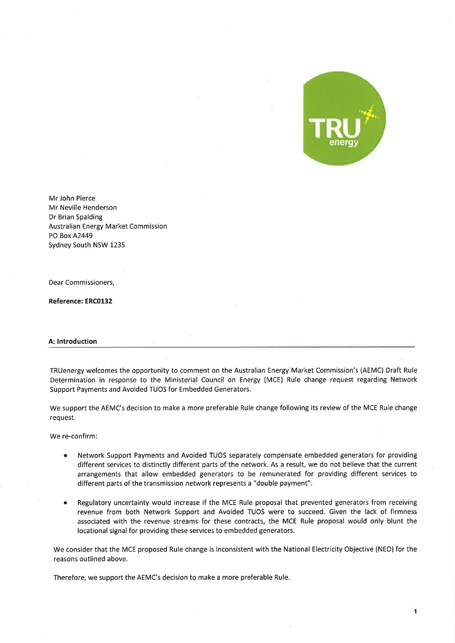

Mr John Pierce Mr Neville Henderson Dr Brian Spalding Australian Energy Market Commission PO Box A2449 Sydney South NSW 1235

Dear Commissioners,

Reference: ERCO132

# A: Introduction

TRUenergy welcomes the opportunity to comment on the Australian Energy Market Commission's (AEMC) Draft Rule Determination in response to the Ministerial Council on Energy (MCE) Rule change request regarding Network Support Payments and Avoided TUOS for Embedded Generators.

We support the AEMC's decision to make a more preferable Rule change following its review of the MCE Rule change request.

We re-confirm:

- o Network Support Payments and Avoided TUOS separately compensate embedded generators for providing different services to distinctly different parts of the network. As a result, we do not believe that the current arrangements that allow embedded generators to be remunerated for providing different services to different parts of the transmission network represents a "double payment".
- o Regulatory uncertainty would increase if the MCE Rule proposal that prevented generators from receiving revenue from both Network Support and Avoided TUOS were to succeed. Given the lack of firmness associated with the revenue streams for these contracts, the MCE Rule proposal would only blunt the locational signal for providing these services to embedded generators.

We consider that the MCE proposed Rule change is inconsistent with the National Electricity Objective (NEO) for the reasons outlined above.

Therefore, we support the AEMC's decision to make a more preferable Rule.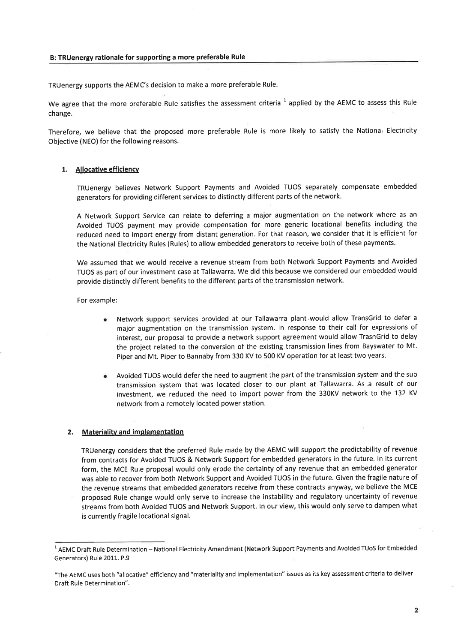#### B: TRUenergy rationale for supporting a more preferable Rule

TRUenergy supports the AEMC's decision to make a more preferable Rule.

We agree that the more preferable Rule satisfies the assessment criteria  $^1$  applied by the AEMC to assess this Rule change.

Therefore, we believe that the proposed more preferable Rule is more likely to satisfy the National Electricity Objective (NEO) for the following reasons.

## 1. Allocative efficiency

TRUenergy believes Network Support Payments and Avoided TUOS separately compensate embedded generators for providing different services to distinctly different parts of the network.

A Network Support Service can relate to deferring a major augmentation on the network where as an Avoided TUOS payment may provide compensation for more generic locational benefits including the reduced need to import energy from distant generation. For that reason, we consider that it is efficient for the National Electricity Rules (Rules) to allow embedded generatorsto receive both of these payments.

We assumed that we would receive a revenue stream from both Network Support Payments and Avoided TUOS as part of our investment case at Tallawarra. We did this because we considered our embedded would provide distinctly different benefits to the different parts of the transmission network.

For example:

- Network support services provided at our Tallawarra plant.would allow TransGrid to defer <sup>a</sup> major augmentation on the transmission system. ln response to their call for expressions of interest, our proposal to provide a network support agreement would allow TrasnGrid to delay the project related to the conversion of the existing transmission lines from Bayswater to Mt. Piper and Mt. Piper to Bannaby from 330 KV to 500 KV operation for at least two years.
- Avoided TUOS would defer the need to augment the part of the transmission system and the sub transmission system that was located closer to our plant at Tallawarra. As a result of our investment, we reduced the need to import power from the 330KV network to the 132 KV network from a remotely located power station.

## 2. Materialitv and implementation

TRUenergy considers that the preferred Rule made by the AEMC will support the predictability of revenue from contracts for Avoided TUOS & Network Support for embedded generators in the future. ln its current form, the MCE Rule proposal would only erode the certainty of any revenue that an embedded generator was able to recover from both Network Support and Avoided TUOS in the future. Given the fragile nature of the revenue streams that embedded generators receive from these contracts anyway, we believe the MCE proposed Rule change would only serve to increase the instability and regulatory uncertainty of revenue streams from both Avoided TUOS and Network Support. ln our view, this would only serve to dampen what is currently fragile locational signal.

 $\overline{\mathbf{2}}$ 

 $1$  AEMC Draft Rule Determination - National Electricity Amendment (Network Support Payments and Avoided TUoS for Embedded Generators) Rule 2011. P.9

<sup>&</sup>quot;The AEMC uses both "allocative" efficiency and "materiality and implementation" issues as its key assessment criteria to deliver Draft Rule Determination".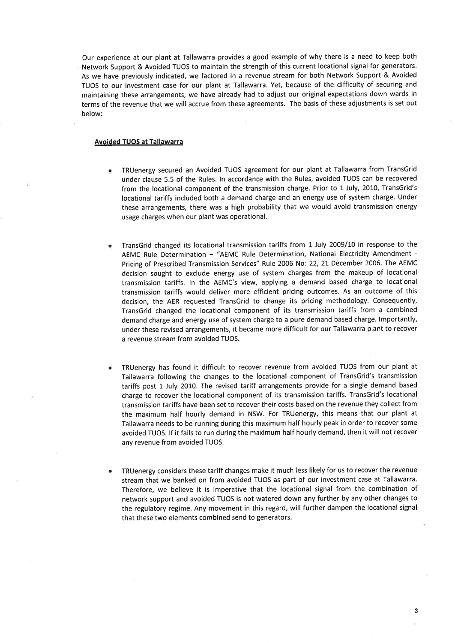Our experience at our plant at Tallawarra provides a good example of why there is a need to keep both Network Support & Avoided TUOS to maintain the strength of this current locational signal for generators. As we have previously indicated, we factored in a revenue stream for both Network Support & Avoided TUOS to our investment case for our plant at Tallawarra. Yet, because of the difficulty of securing and maintaining these arrangements, we have already had to adjust our original expectations down wards in terms of the revenue that we will accrue from these agreements. The basis of these adjustments is set out below:

#### Avoided TUOS at Tallawarra

- TRUenergy secured an Avoided TUOS agreement for our plant at Tallawarra from TransGrid under clause 5.5 of the Rules. ln accordance with the Rules, avoided TUOS can be recovered from the locational component of the transmission charge. Prior to 1 July, 2010, TransGrid's locational tariffs included both a demand charge and an energy use of system charge. Under these arrangements, there was a high probability that we would avoid transmission energy usage charges when our plant was operational.
- TransGrid changed its locational transmission tariffs from 1 July 2009/10 in response to the AEMC Rule Determination - "AEMC Rule Determination, National Electricity Amendment -Pricing of Prescribed Transmission Services" Rule 2006 No: 22, 2L December 2006. The AEMC decision sought to exclude energy use of system charges from the makeup of locational transmission tariffs. In the AEMC's view, applying a demand based charge to locational transmission tariffs would deliver more efficient pricing outcomes. As an outcome of this decision, the AER requested TransGrid to change its pricing methodology. Consequently, TransGrid changed the locational component of its transmission tariffs from a combined demand charge and energy use of system charge to a pure demand based charge. Importantly, under these revised arrangements, it became more difficult for our Tallawarra plant to recover a revenue stream from avoided TUOS.
- TRUenergy has found it difficult to recover revenue from avoided TUOS from our plant at Tallawarra following the changes to the locational component of TransGrid's transmission tariffs post 1 July 2010. The revised tariff arrangements provide for a single demand based charge to recover the locational component of its transmission tariffs. TransGrid's locational transmission tariffs have been set to recover their costs based on the revenue they collect from the maximum half hourly demand in NSW. For TRUenergy, this means that our plant at Iallawarra needs to be running during this maximum half hourly peak in order to recover some avoided TUOS. lf it fails to run during the maximum half hourly demand, then it will not recover any revenue from avoided TUOS.
- TRUenergy considers these tariff changes make it much less likely for us to recover the revenue stream that we banked on from avoided TUOS as part of our investment case at Tallawarra. Therefore, we believe it is imperative that the locational signal from the combination of network support and avoided TUOS is not watered down any further by any other changes to the regulatory regime. Any movement in this regard, will further dampen the locational signal that these two elements combined send to generators.